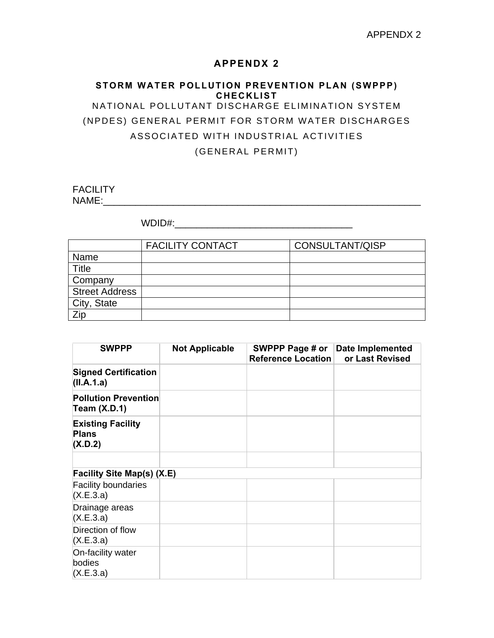## **APPENDX 2**

## **STORM WATER POLLUTION PREVENTION PLAN (SWPPP) CHECKLIST** NATIONAL POLLUTANT DISCHARGE ELIMINATION SYSTEM (NPDES) GENERAL PERMIT FOR STORM WATER DISCHARGES ASSOCIATED WITH INDUSTRIAL ACTIVITIES (GENERAL PERMIT)

**FACILITY** NAME:\_\_\_\_\_\_\_\_\_\_\_\_\_\_\_\_\_\_\_\_\_\_\_\_\_\_\_\_\_\_\_\_\_\_\_\_\_\_\_\_\_\_\_\_\_\_\_\_\_\_\_\_\_\_\_\_\_\_\_

WDID#:\_\_\_\_\_\_\_\_\_\_\_\_\_\_\_\_\_\_\_\_\_\_\_\_\_\_\_\_\_\_\_\_\_

|                       | <b>FACILITY CONTACT</b> | CONSULTANT/QISP |
|-----------------------|-------------------------|-----------------|
| Name                  |                         |                 |
| <b>Title</b>          |                         |                 |
| Company               |                         |                 |
| <b>Street Address</b> |                         |                 |
| City, State           |                         |                 |
| Zip                   |                         |                 |

| <b>SWPPP</b>                                        | <b>Not Applicable</b> | SWPPP Page # or<br><b>Reference Location</b> | Date Implemented<br>or Last Revised |
|-----------------------------------------------------|-----------------------|----------------------------------------------|-------------------------------------|
| <b>Signed Certification</b><br>(II.A.1.a)           |                       |                                              |                                     |
| <b>Pollution Prevention</b><br><b>Team (X.D.1)</b>  |                       |                                              |                                     |
| <b>Existing Facility</b><br><b>Plans</b><br>(X.D.2) |                       |                                              |                                     |
|                                                     |                       |                                              |                                     |
| Facility Site Map(s) (X.E)                          |                       |                                              |                                     |
| <b>Facility boundaries</b><br>(X.E.3.a)             |                       |                                              |                                     |
| Drainage areas<br>(X.E.3.a)                         |                       |                                              |                                     |
| Direction of flow<br>(X.E.3.a)                      |                       |                                              |                                     |
| On-facility water<br>bodies<br>(X.E.3.a)            |                       |                                              |                                     |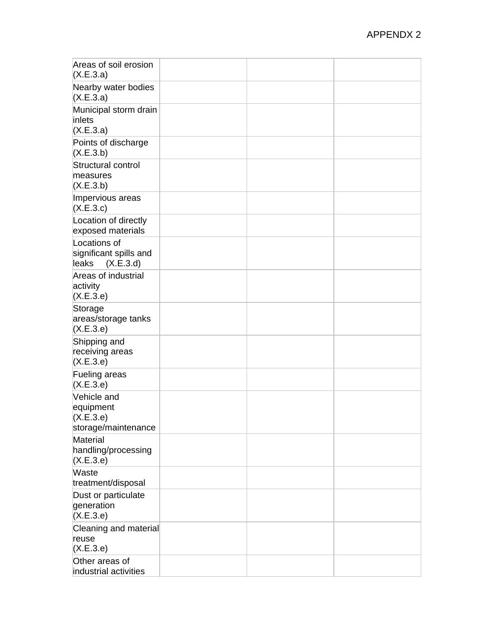| Areas of soil erosion<br>(X.E.3.a)                           |  |  |
|--------------------------------------------------------------|--|--|
| Nearby water bodies<br>(X.E.3.a)                             |  |  |
| Municipal storm drain<br>inlets<br>(X.E.3.a)                 |  |  |
| Points of discharge<br>(X.E.3.b)                             |  |  |
| Structural control<br>measures<br>(X.E.3.b)                  |  |  |
| Impervious areas<br>(X.E.3.c)                                |  |  |
| Location of directly<br>exposed materials                    |  |  |
| Locations of<br>significant spills and<br>leaks<br>(X.E.3.d) |  |  |
| Areas of industrial<br>activity<br>(X.E.3.e)                 |  |  |
| Storage<br>areas/storage tanks<br>(X.E.3.e)                  |  |  |
| Shipping and<br>receiving areas<br>(X.E.3.e)                 |  |  |
| Fueling areas<br>(X.E.3.e)                                   |  |  |
| Vehicle and<br>equipment<br>(X.E.3.e)<br>storage/maintenance |  |  |
| Material<br>handling/processing<br>(X.E.3.e)                 |  |  |
| Waste<br>treatment/disposal                                  |  |  |
| Dust or particulate<br>generation<br>(X.E.3.e)               |  |  |
| Cleaning and material<br>reuse<br>(X.E.3.e)                  |  |  |
| Other areas of<br>industrial activities                      |  |  |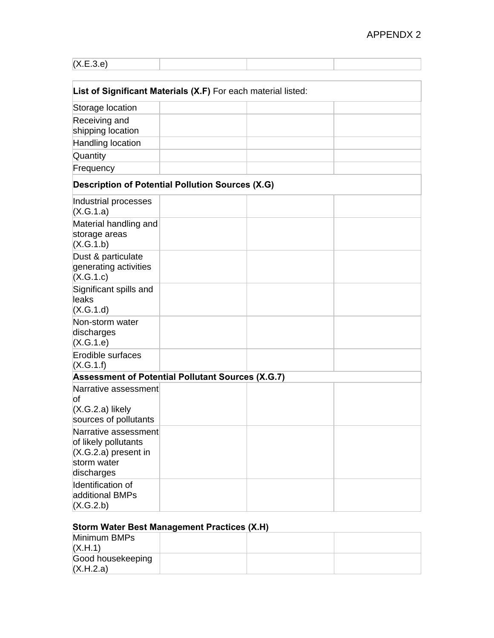| (X.E.3.e)                                                                                           |                                                         |  |  |
|-----------------------------------------------------------------------------------------------------|---------------------------------------------------------|--|--|
|                                                                                                     |                                                         |  |  |
| List of Significant Materials (X.F) For each material listed:                                       |                                                         |  |  |
| Storage location                                                                                    |                                                         |  |  |
| Receiving and                                                                                       |                                                         |  |  |
| shipping location                                                                                   |                                                         |  |  |
| Handling location                                                                                   |                                                         |  |  |
| Quantity                                                                                            |                                                         |  |  |
| Frequency                                                                                           |                                                         |  |  |
|                                                                                                     | <b>Description of Potential Pollution Sources (X.G)</b> |  |  |
| Industrial processes<br>(X.G.1.a)                                                                   |                                                         |  |  |
| Material handling and<br>storage areas<br>(X.G.1.b)                                                 |                                                         |  |  |
| Dust & particulate<br>generating activities<br>(X.G.1.c)                                            |                                                         |  |  |
| Significant spills and<br>leaks<br>(X.G.1.d)                                                        |                                                         |  |  |
| Non-storm water<br>discharges<br>(X.G.1.e)                                                          |                                                         |  |  |
| Erodible surfaces<br>(X.G.1.f)                                                                      |                                                         |  |  |
| Assessment of Potential Pollutant Sources (X.G.7)                                                   |                                                         |  |  |
| Narrative assessment<br>οf<br>(X.G.2.a) likely                                                      |                                                         |  |  |
| sources of pollutants                                                                               |                                                         |  |  |
| Narrative assessment<br>of likely pollutants<br>$(X.G.2.a)$ present in<br>storm water<br>discharges |                                                         |  |  |
| Identification of<br>additional BMPs<br>(X.G.2.b)                                                   |                                                         |  |  |

# **Storm Water Best Management Practices (X.H)**

| Minimum BMPs      |  |  |
|-------------------|--|--|
| (X.H.1)           |  |  |
| Good housekeeping |  |  |
| (X.H.2.a)         |  |  |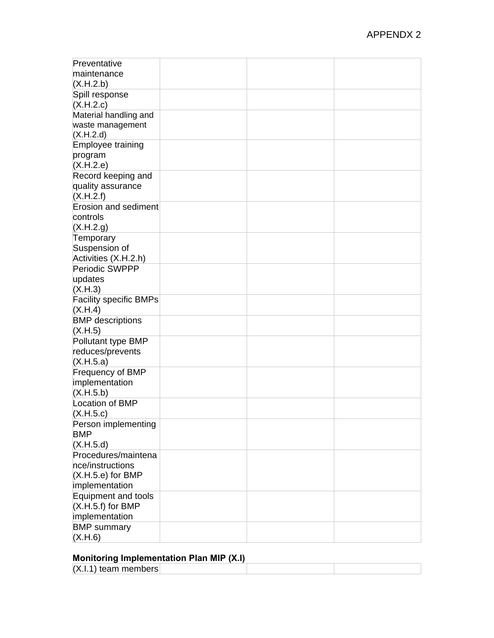| Preventative                  |  |  |
|-------------------------------|--|--|
| maintenance                   |  |  |
| (X.H.2.b)                     |  |  |
| Spill response                |  |  |
| (X.H.2.c)                     |  |  |
| Material handling and         |  |  |
| waste management              |  |  |
| (X.H.2.d)                     |  |  |
| Employee training             |  |  |
| program                       |  |  |
| (X.H.2.e)                     |  |  |
| Record keeping and            |  |  |
| quality assurance             |  |  |
| (X.H.2.f)                     |  |  |
| <b>Erosion and sediment</b>   |  |  |
| controls                      |  |  |
| (X.H.2.g)                     |  |  |
| Temporary                     |  |  |
| Suspension of                 |  |  |
| Activities (X.H.2.h)          |  |  |
| Periodic SWPPP                |  |  |
| updates                       |  |  |
| (X.H.3)                       |  |  |
| <b>Facility specific BMPs</b> |  |  |
| (X.H.4)                       |  |  |
| <b>BMP</b> descriptions       |  |  |
| (X.H.5)                       |  |  |
| Pollutant type BMP            |  |  |
| reduces/prevents              |  |  |
| (X.H.5.a)                     |  |  |
| Frequency of BMP              |  |  |
| implementation                |  |  |
| (X.H.5.b)                     |  |  |
| Location of BMP               |  |  |
| (X.H.5.c)                     |  |  |
| Person implementing           |  |  |
| <b>BMP</b>                    |  |  |
| (X.H.5.d)                     |  |  |
| Procedures/maintena           |  |  |
| nce/instructions              |  |  |
| $(X.H.5.e)$ for BMP           |  |  |
| implementation                |  |  |
| Equipment and tools           |  |  |
| $(X.H.5.f)$ for BMP           |  |  |
|                               |  |  |
| implementation                |  |  |
| <b>BMP</b> summary            |  |  |
| (X.H.6)                       |  |  |

#### **Monitoring Implementation Plan MIP (X.I)**

| m                      |  |  |  |
|------------------------|--|--|--|
| $(X.I.1)$ team members |  |  |  |
|                        |  |  |  |